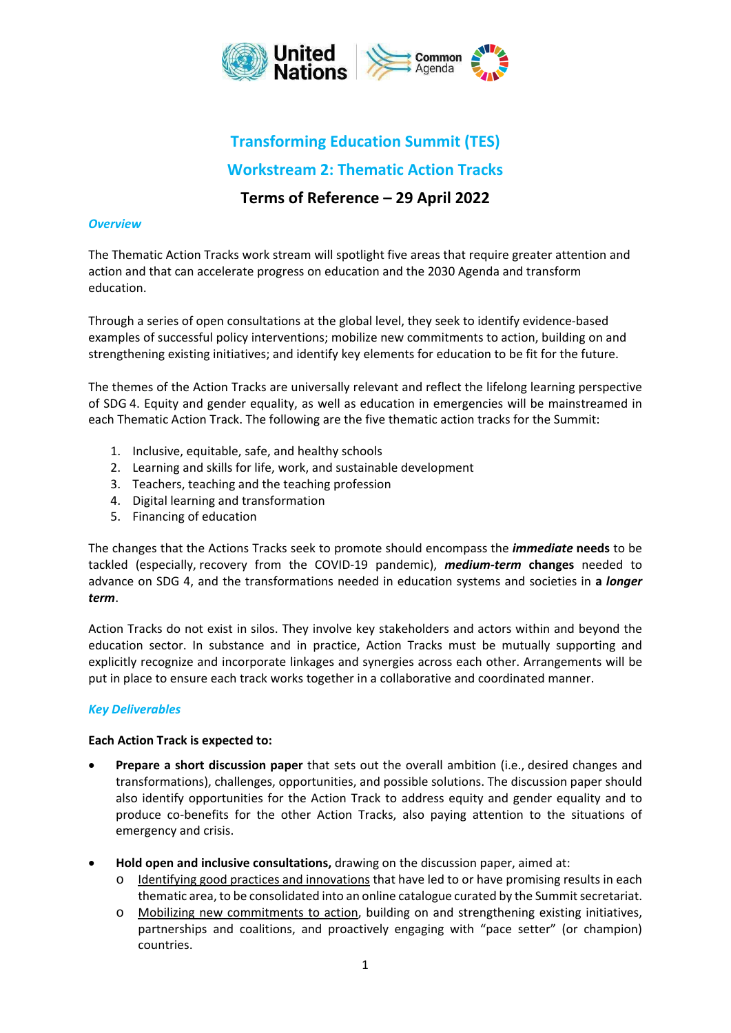

# **Transforming Education Summit (TES) Workstream 2: Thematic Action Tracks**

# **Terms of Reference – 29 April 2022**

# *Overview*

The Thematic Action Tracks work stream will spotlight five areas that require greater attention and action and that can accelerate progress on education and the 2030 Agenda and transform education.

Through a series of open consultations at the global level, they seek to identify evidence‐based examples of successful policy interventions; mobilize new commitments to action, building on and strengthening existing initiatives; and identify key elements for education to be fit for the future.

The themes of the Action Tracks are universally relevant and reflect the lifelong learning perspective of SDG 4. Equity and gender equality, as well as education in emergencies will be mainstreamed in each Thematic Action Track. The following are the five thematic action tracks for the Summit:

- 1. Inclusive, equitable, safe, and healthy schools
- 2. Learning and skills for life, work, and sustainable development
- 3. Teachers, teaching and the teaching profession
- 4. Digital learning and transformation
- 5. Financing of education

The changes that the Actions Tracks seek to promote should encompass the *immediate* **needs** to be tackled (especially, recovery from the COVID‐19 pandemic), *medium‐term* **changes** needed to advance on SDG 4, and the transformations needed in education systems and societies in **a** *longer term*.

Action Tracks do not exist in silos. They involve key stakeholders and actors within and beyond the education sector. In substance and in practice, Action Tracks must be mutually supporting and explicitly recognize and incorporate linkages and synergies across each other. Arrangements will be put in place to ensure each track works together in a collaborative and coordinated manner.

#### *Key Deliverables*

#### **Each Action Track is expected to:**

- **Prepare a short discussion paper** that sets out the overall ambition (i.e., desired changes and transformations), challenges, opportunities, and possible solutions. The discussion paper should also identify opportunities for the Action Track to address equity and gender equality and to produce co-benefits for the other Action Tracks, also paying attention to the situations of emergency and crisis.
- **Hold open and inclusive consultations,** drawing on the discussion paper, aimed at:
	- o Identifying good practices and innovations that have led to or have promising results in each thematic area, to be consolidated into an online catalogue curated by the Summit secretariat.
	- o Mobilizing new commitments to action, building on and strengthening existing initiatives, partnerships and coalitions, and proactively engaging with "pace setter" (or champion) countries.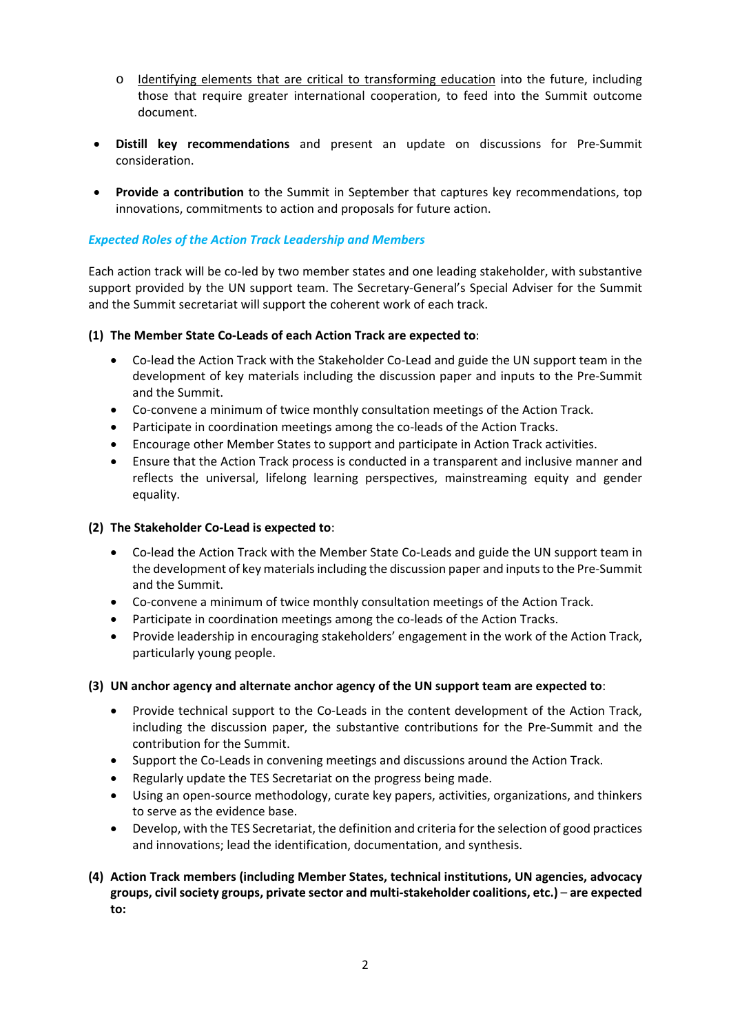- o Identifying elements that are critical to transforming education into the future, including those that require greater international cooperation, to feed into the Summit outcome document.
- **Distill key recommendations** and present an update on discussions for Pre‐Summit consideration.
- **Provide a contribution** to the Summit in September that captures key recommendations, top innovations, commitments to action and proposals for future action.

# *Expected Roles of the Action Track Leadership and Members*

Each action track will be co‐led by two member states and one leading stakeholder, with substantive support provided by the UN support team. The Secretary-General's Special Adviser for the Summit and the Summit secretariat will support the coherent work of each track.

**(1) The Member State Co‐Leads of each Action Track are expected to**:

- Co-lead the Action Track with the Stakeholder Co-Lead and guide the UN support team in the development of key materials including the discussion paper and inputs to the Pre‐Summit and the Summit.
- Co-convene a minimum of twice monthly consultation meetings of the Action Track.
- Participate in coordination meetings among the co-leads of the Action Tracks.
- Encourage other Member States to support and participate in Action Track activities.
- Ensure that the Action Track process is conducted in a transparent and inclusive manner and reflects the universal, lifelong learning perspectives, mainstreaming equity and gender equality.

#### **(2) The Stakeholder Co‐Lead is expected to**:

- Co-lead the Action Track with the Member State Co-Leads and guide the UN support team in the development of key materials including the discussion paper and inputs to the Pre‐Summit and the Summit.
- Co-convene a minimum of twice monthly consultation meetings of the Action Track.
- Participate in coordination meetings among the co-leads of the Action Tracks.
- Provide leadership in encouraging stakeholders' engagement in the work of the Action Track, particularly young people.

#### **(3) UN anchor agency and alternate anchor agency of the UN support team are expected to**:

- Provide technical support to the Co-Leads in the content development of the Action Track, including the discussion paper, the substantive contributions for the Pre‐Summit and the contribution for the Summit.
- Support the Co‐Leads in convening meetings and discussions around the Action Track.
- Regularly update the TES Secretariat on the progress being made.
- Using an open‐source methodology, curate key papers, activities, organizations, and thinkers to serve as the evidence base.
- Develop, with the TES Secretariat, the definition and criteria for the selection of good practices and innovations; lead the identification, documentation, and synthesis.
- **(4) Action Track members (including Member States, technical institutions, UN agencies, advocacy groups, civil society groups, private sector and multi‐stakeholder coalitions, etc.)** – **are expected to:**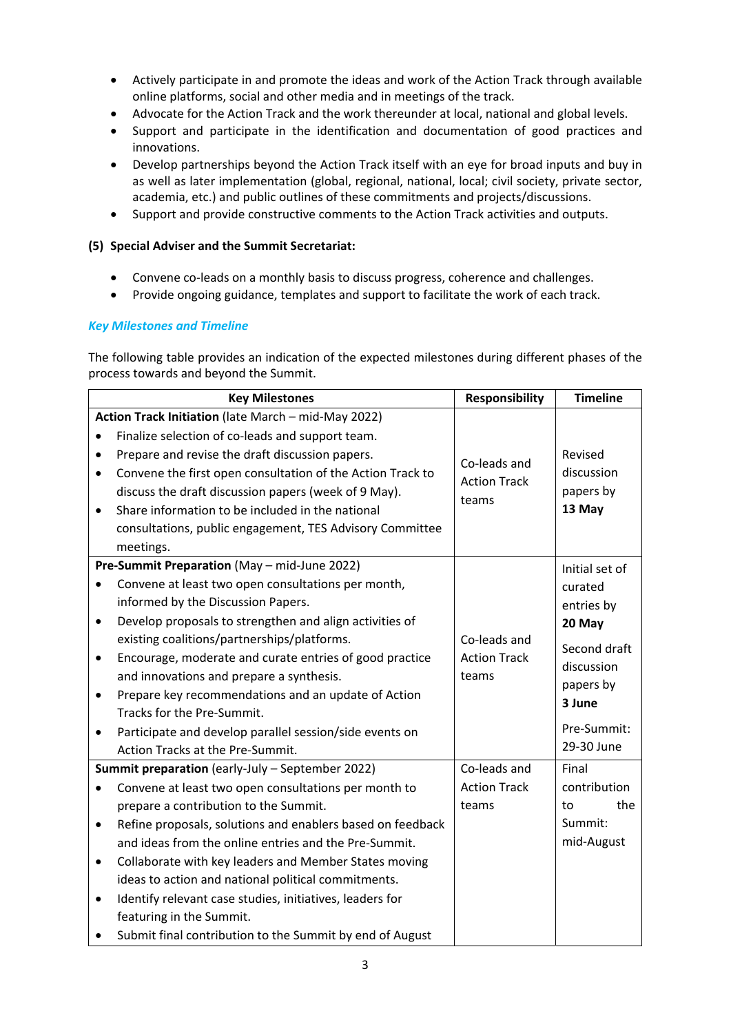- Actively participate in and promote the ideas and work of the Action Track through available online platforms, social and other media and in meetings of the track.
- Advocate for the Action Track and the work thereunder at local, national and global levels.
- Support and participate in the identification and documentation of good practices and innovations.
- Develop partnerships beyond the Action Track itself with an eye for broad inputs and buy in as well as later implementation (global, regional, national, local; civil society, private sector, academia, etc.) and public outlines of these commitments and projects/discussions.
- Support and provide constructive comments to the Action Track activities and outputs.

# **(5) Special Adviser and the Summit Secretariat:**

- Convene co-leads on a monthly basis to discuss progress, coherence and challenges.
- Provide ongoing guidance, templates and support to facilitate the work of each track.

# *Key Milestones and Timeline*

The following table provides an indication of the expected milestones during different phases of the process towards and beyond the Summit.

|           | <b>Key Milestones</b>                                      | <b>Responsibility</b>                        | <b>Timeline</b> |
|-----------|------------------------------------------------------------|----------------------------------------------|-----------------|
|           | Action Track Initiation (late March - mid-May 2022)        |                                              |                 |
|           | Finalize selection of co-leads and support team.           |                                              |                 |
|           | Prepare and revise the draft discussion papers.            | Co-leads and<br><b>Action Track</b><br>teams | Revised         |
|           | Convene the first open consultation of the Action Track to |                                              | discussion      |
|           | discuss the draft discussion papers (week of 9 May).       |                                              | papers by       |
| $\bullet$ | Share information to be included in the national           |                                              | 13 May          |
|           | consultations, public engagement, TES Advisory Committee   |                                              |                 |
|           | meetings.                                                  |                                              |                 |
|           | Pre-Summit Preparation (May - mid-June 2022)               |                                              | Initial set of  |
| $\bullet$ | Convene at least two open consultations per month,         | Co-leads and<br><b>Action Track</b><br>teams | curated         |
|           | informed by the Discussion Papers.                         |                                              | entries by      |
| $\bullet$ | Develop proposals to strengthen and align activities of    |                                              | 20 May          |
|           | existing coalitions/partnerships/platforms.                |                                              | Second draft    |
| $\bullet$ | Encourage, moderate and curate entries of good practice    |                                              | discussion      |
|           | and innovations and prepare a synthesis.                   |                                              | papers by       |
| $\bullet$ | Prepare key recommendations and an update of Action        |                                              | 3 June          |
|           | Tracks for the Pre-Summit.                                 |                                              |                 |
|           | Participate and develop parallel session/side events on    |                                              | Pre-Summit:     |
|           | Action Tracks at the Pre-Summit.                           |                                              | 29-30 June      |
|           | Summit preparation (early-July - September 2022)           | Co-leads and                                 | Final           |
| $\bullet$ | Convene at least two open consultations per month to       | <b>Action Track</b>                          | contribution    |
|           | prepare a contribution to the Summit.                      | teams                                        | the<br>to       |
| $\bullet$ | Refine proposals, solutions and enablers based on feedback |                                              | Summit:         |
|           | and ideas from the online entries and the Pre-Summit.      |                                              | mid-August      |
| $\bullet$ | Collaborate with key leaders and Member States moving      |                                              |                 |
|           | ideas to action and national political commitments.        |                                              |                 |
| ٠         | Identify relevant case studies, initiatives, leaders for   |                                              |                 |
|           | featuring in the Summit.                                   |                                              |                 |
|           | Submit final contribution to the Summit by end of August   |                                              |                 |